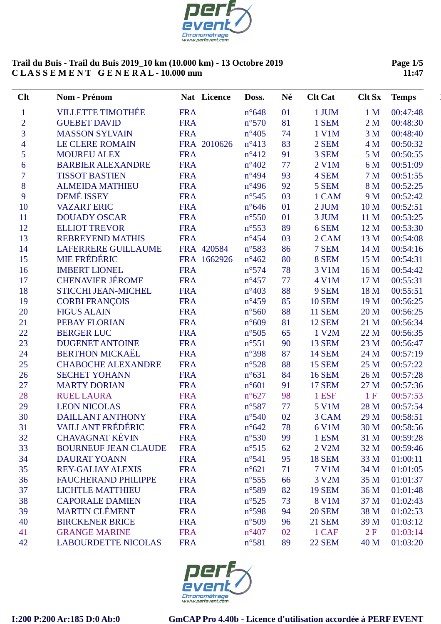

**Page 1/5 11:47**

| Clt            | Nom - Prénom                |            | Nat Licence | Doss.           | Né | <b>Clt Cat</b> | <b>Clt Sx</b>   | <b>Temps</b> |
|----------------|-----------------------------|------------|-------------|-----------------|----|----------------|-----------------|--------------|
| $\mathbf{1}$   | <b>VILLETTE TIMOTHÉE</b>    | <b>FRA</b> |             | $n^{\circ}648$  | 01 | 1 JUM          | 1 <sub>M</sub>  | 00:47:48     |
| $\overline{2}$ | <b>GUEBET DAVID</b>         | <b>FRA</b> |             | $n^{\circ}570$  | 81 | 1 SEM          | 2M              | 00:48:30     |
| $\overline{3}$ | <b>MASSON SYLVAIN</b>       | <b>FRA</b> |             | $n^{\circ}405$  | 74 | 1 V1M          | 3 <sub>M</sub>  | 00:48:40     |
| $\overline{4}$ | <b>LE CLERE ROMAIN</b>      |            | FRA 2010626 | $n^{\circ}413$  | 83 | 2 SEM          | 4 M             | 00:50:32     |
| 5              | <b>MOUREU ALEX</b>          | <b>FRA</b> |             | $n^{\circ}412$  | 91 | 3 SEM          | 5 <sub>M</sub>  | 00:50:55     |
| 6              | <b>BARBIER ALEXANDRE</b>    | <b>FRA</b> |             | $n^{\circ}402$  | 77 | 2 V1M          | 6 M             | 00:51:09     |
| $\overline{7}$ | <b>TISSOT BASTIEN</b>       | <b>FRA</b> |             | $n^{\circ}494$  | 93 | 4 SEM          | 7 <sub>M</sub>  | 00:51:55     |
| 8              | <b>ALMEIDA MATHIEU</b>      | <b>FRA</b> |             | $n^{\circ}496$  | 92 | 5 SEM          | 8 M             | 00:52:25     |
| 9              | <b>DEMÉ ISSEY</b>           | <b>FRA</b> |             | $n^{\circ}545$  | 03 | 1 CAM          | 9 M             | 00:52:42     |
| 10             | <b>VAZART ERIC</b>          | <b>FRA</b> |             | $n^{\circ}646$  | 01 | 2 JUM          | 10 <sub>M</sub> | 00:52:51     |
| 11             | <b>DOUADY OSCAR</b>         | <b>FRA</b> |             | $n^{\circ}550$  | 01 | 3 JUM          | 11 M            | 00:53:25     |
| 12             | <b>ELLIOT TREVOR</b>        | <b>FRA</b> |             | $n^{\circ}$ 553 | 89 | 6 SEM          | 12 M            | 00:53:30     |
| 13             | <b>REBREYEND MATHIS</b>     | <b>FRA</b> |             | $n^{\circ}454$  | 03 | 2 CAM          | 13 M            | 00:54:08     |
| 14             | <b>LAFERRERE GUILLAUME</b>  |            | FRA 420584  | $n^{\circ}583$  | 86 | 7 SEM          | 14 M            | 00:54:16     |
| 15             | <b>MIE FRÉDÉRIC</b>         |            | FRA 1662926 | $n^{\circ}462$  | 80 | 8 SEM          | 15 M            | 00:54:31     |
| 16             | <b>IMBERT LIONEL</b>        | <b>FRA</b> |             | $n^{\circ}574$  | 78 | 3 V1M          | 16 M            | 00:54:42     |
| 17             | <b>CHENAVIER JÉROME</b>     | <b>FRA</b> |             | $n^{\circ}457$  | 77 | 4 V1M          | 17 M            | 00:55:31     |
| 18             | <b>STICCHI JEAN-MICHEL</b>  | <b>FRA</b> |             | $n^{\circ}403$  | 88 | 9 SEM          | 18 M            | 00:55:51     |
| 19             | <b>CORBI FRANÇOIS</b>       | <b>FRA</b> |             | $n^{\circ}459$  | 85 | <b>10 SEM</b>  | 19 M            | 00:56:25     |
| 20             | <b>FIGUS ALAIN</b>          | <b>FRA</b> |             | $n^{\circ}560$  | 88 | <b>11 SEM</b>  | 20 M            | 00:56:25     |
| 21             | <b>PEBAY FLORIAN</b>        | <b>FRA</b> |             | $n^{\circ}609$  | 81 | <b>12 SEM</b>  | 21 M            | 00:56:34     |
| 22             | <b>BERGER LUC</b>           | <b>FRA</b> |             | $n^{\circ}505$  | 65 | 1 V2M          | 22 M            | 00:56:35     |
| 23             | <b>DUGENET ANTOINE</b>      | <b>FRA</b> |             | $n^{\circ}551$  | 90 | <b>13 SEM</b>  | 23 M            | 00:56:47     |
| 24             | <b>BERTHON MICKAËL</b>      | <b>FRA</b> |             | n°398           | 87 | <b>14 SEM</b>  | 24 M            | 00:57:19     |
| 25             | <b>CHABOCHE ALEXANDRE</b>   | <b>FRA</b> |             | $n^{\circ}528$  | 88 | <b>15 SEM</b>  | 25 M            | 00:57:22     |
| 26             | <b>SECHET YOHANN</b>        | <b>FRA</b> |             | $n^{\circ}631$  | 84 | <b>16 SEM</b>  | 26 M            | 00:57:28     |
| 27             | <b>MARTY DORIAN</b>         | <b>FRA</b> |             | $n^{\circ}601$  | 91 | <b>17 SEM</b>  | 27 M            | 00:57:36     |
| 28             | <b>RUEL LAURA</b>           | <b>FRA</b> |             | $n^{\circ}627$  | 98 | 1 ESF          | 1F              | 00:57:53     |
| 29             | <b>LEON NICOLAS</b>         | <b>FRA</b> |             | n°587           | 77 | 5 V1M          | 28 M            | 00:57:54     |
| 30             | <b>DAILLANT ANTHONY</b>     | <b>FRA</b> |             | $n^{\circ}540$  | 02 | 3 CAM          | 29 M            | 00:58:51     |
| 31             | <b>VAILLANT FRÉDÉRIC</b>    | <b>FRA</b> |             | $n^{\circ}642$  | 78 | 6 V1M          | 30 M            | 00:58:56     |
| 32             | <b>CHAVAGNAT KÉVIN</b>      | <b>FRA</b> |             | $n^{\circ}530$  | 99 | 1 ESM          | 31 M            | 00:59:28     |
| 33             | <b>BOURNEUF JEAN CLAUDE</b> | <b>FRA</b> |             | $n^{\circ}515$  | 62 | 2 V2M          | 32 M            | 00:59:46     |
| 34             | <b>DAURAT YOANN</b>         | <b>FRA</b> |             | $n^{\circ}541$  | 95 | <b>18 SEM</b>  | 33 M            | 01:00:11     |
| 35             | <b>REY-GALIAY ALEXIS</b>    | <b>FRA</b> |             | $n^{\circ}621$  | 71 | <b>7 V1M</b>   | 34 M            | 01:01:05     |
| 36             | <b>FAUCHERAND PHILIPPE</b>  | <b>FRA</b> |             | $n^{\circ}$ 555 | 66 | 3 V2M          | 35 M            | 01:01:37     |
| 37             | <b>LICHTLE MATTHIEU</b>     | <b>FRA</b> |             | $n^{\circ}589$  | 82 | <b>19 SEM</b>  | 36 M            | 01:01:48     |
| 38             | <b>CAPORALE DAMIEN</b>      | <b>FRA</b> |             | $n^{\circ}525$  | 73 | 8 V1M          | 37 M            | 01:02:43     |
| 39             | <b>MARTIN CLÉMENT</b>       | <b>FRA</b> |             | $n^{\circ}598$  | 94 | <b>20 SEM</b>  | 38 M            | 01:02:53     |
| 40             | <b>BIRCKENER BRICE</b>      | <b>FRA</b> |             | $n^{\circ}509$  | 96 | <b>21 SEM</b>  | 39 M            | 01:03:12     |
| 41             | <b>GRANGE MARINE</b>        | <b>FRA</b> |             | $n^{\circ}407$  | 02 | 1 CAF          | 2F              | 01:03:14     |
| 42             | <b>LABOURDETTE NICOLAS</b>  | <b>FRA</b> |             | $n^{\circ}581$  | 89 | <b>22 SEM</b>  | 40 M            | 01:03:20     |

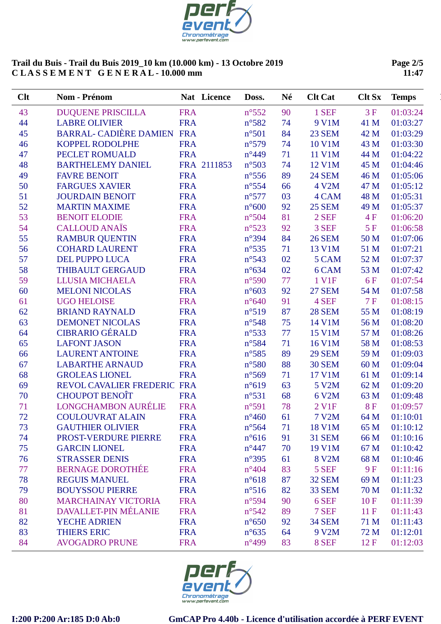

**Page 2/5 11:47**

| Clt | Nom - Prénom                |            | Nat Licence | Doss.           | Né | <b>Clt Cat</b> | <b>Clt Sx</b> | <b>Temps</b> |
|-----|-----------------------------|------------|-------------|-----------------|----|----------------|---------------|--------------|
| 43  | <b>DUQUENE PRISCILLA</b>    | <b>FRA</b> |             | $n^{\circ}552$  | 90 | 1 SEF          | 3F            | 01:03:24     |
| 44  | <b>LABRE OLIVIER</b>        | <b>FRA</b> |             | $n^{\circ}582$  | 74 | 9 V1M          | 41 M          | 01:03:27     |
| 45  | BARRAL- CADIÈRE DAMIEN FRA  |            |             | $n^{\circ}501$  | 84 | <b>23 SEM</b>  | 42 M          | 01:03:29     |
| 46  | <b>KOPPEL RODOLPHE</b>      | <b>FRA</b> |             | $n^{\circ}579$  | 74 | 10 V1M         | 43 M          | 01:03:30     |
| 47  | PECLET ROMUALD              | <b>FRA</b> |             | $n^{\circ}449$  | 71 | 11 V1M         | 44 M          | 01:04:22     |
| 48  | <b>BARTHELEMY DANIEL</b>    |            | FRA 2111853 | $n^{\circ}503$  | 74 | 12 V1M         | 45 M          | 01:04:46     |
| 49  | <b>FAVRE BENOIT</b>         | <b>FRA</b> |             | $n^{\circ}$ 556 | 89 | <b>24 SEM</b>  | 46 M          | 01:05:06     |
| 50  | <b>FARGUES XAVIER</b>       | <b>FRA</b> |             | $n^{\circ}$ 554 | 66 | 4 V2M          | 47 M          | 01:05:12     |
| 51  | <b>JOURDAIN BENOIT</b>      | <b>FRA</b> |             | $n^{\circ}577$  | 03 | 4 CAM          | 48 M          | 01:05:31     |
| 52  | <b>MARTIN MAXIME</b>        | <b>FRA</b> |             | $n^{\circ}600$  | 92 | <b>25 SEM</b>  | 49 M          | 01:05:37     |
| 53  | <b>BENOIT ELODIE</b>        | <b>FRA</b> |             | n°504           | 81 | 2 SEF          | 4F            | 01:06:20     |
| 54  | <b>CALLOUD ANAÏS</b>        | <b>FRA</b> |             | $n^{\circ}523$  | 92 | 3 SEF          | 5F            | 01:06:58     |
| 55  | <b>RAMBUR QUENTIN</b>       | <b>FRA</b> |             | n°394           | 84 | <b>26 SEM</b>  | 50 M          | 01:07:06     |
| 56  | <b>COHARD LAURENT</b>       | <b>FRA</b> |             | $n^{\circ}$ 535 | 71 | 13 V1M         | 51 M          | 01:07:21     |
| 57  | <b>DEL PUPPO LUCA</b>       | <b>FRA</b> |             | $n^{\circ}543$  | 02 | 5 CAM          | 52 M          | 01:07:37     |
| 58  | THIBAULT GERGAUD            | <b>FRA</b> |             | $n^{\circ}634$  | 02 | 6 CAM          | 53 M          | 01:07:42     |
| 59  | LLUSIA MICHAELA             | <b>FRA</b> |             | $n^{\circ}590$  | 77 | 1 V1F          | <b>6F</b>     | 01:07:54     |
| 60  | <b>MELONI NICOLAS</b>       | <b>FRA</b> |             | $n^{\circ}603$  | 92 | <b>27 SEM</b>  | 54 M          | 01:07:58     |
| 61  | <b>UGO HELOISE</b>          | <b>FRA</b> |             | $n^{\circ}640$  | 91 | 4 SEF          | 7F            | 01:08:15     |
| 62  | <b>BRIAND RAYNALD</b>       | <b>FRA</b> |             | $n^{\circ}519$  | 87 | <b>28 SEM</b>  | 55 M          | 01:08:19     |
| 63  | <b>DEMONET NICOLAS</b>      | <b>FRA</b> |             | $n^{\circ}548$  | 75 | 14 V1M         | 56 M          | 01:08:20     |
| 64  | <b>CIBRARIO GÉRALD</b>      | <b>FRA</b> |             | $n^{\circ}533$  | 77 | 15 V1M         | 57 M          | 01:08:26     |
| 65  | <b>LAFONT JASON</b>         | <b>FRA</b> |             | n°584           | 71 | 16 V1M         | 58 M          | 01:08:53     |
| 66  | <b>LAURENT ANTOINE</b>      | <b>FRA</b> |             | $n^{\circ}585$  | 89 | <b>29 SEM</b>  | 59 M          | 01:09:03     |
| 67  | <b>LABARTHE ARNAUD</b>      | <b>FRA</b> |             | $n^{\circ}580$  | 88 | <b>30 SEM</b>  | 60 M          | 01:09:04     |
| 68  | <b>GROLEAS LIONEL</b>       | <b>FRA</b> |             | $n^{\circ}569$  | 71 | 17 V1M         | 61 M          | 01:09:14     |
| 69  | REVOL CAVALIER FREDERIC FRA |            |             | $n^{\circ}619$  | 63 | 5 V2M          | 62 M          | 01:09:20     |
| 70  | <b>CHOUPOT BENOIT</b>       | <b>FRA</b> |             | $n^{\circ}531$  | 68 | 6 V2M          | 63 M          | 01:09:48     |
| 71  | <b>LONGCHAMBON AURÉLIE</b>  | <b>FRA</b> |             | $n^{\circ}591$  | 78 | 2 V1F          | <b>8F</b>     | 01:09:57     |
| 72  | <b>COULOUVRAT ALAIN</b>     | <b>FRA</b> |             | $n^{\circ}460$  | 61 | <b>7 V2M</b>   | 64 M          | 01:10:01     |
| 73  | <b>GAUTHIER OLIVIER</b>     | <b>FRA</b> |             | $n^{\circ}$ 564 | 71 | 18 V1M         | 65 M          | 01:10:12     |
| 74  | PROST-VERDURE PIERRE        | <b>FRA</b> |             | $n^{\circ}616$  | 91 | <b>31 SEM</b>  | 66 M          | 01:10:16     |
| 75  | <b>GARCIN LIONEL</b>        | <b>FRA</b> |             | $n^{\circ}447$  | 70 | 19 V1M         | 67 M          | 01:10:42     |
| 76  | <b>STRASSER DENIS</b>       | <b>FRA</b> |             | $n^{\circ}395$  | 61 | 8 V2M          | 68 M          | 01:10:46     |
| 77  | <b>BERNAGE DOROTHÉE</b>     | <b>FRA</b> |             | $n^{\circ}404$  | 83 | 5 SEF          | 9F            | 01:11:16     |
| 78  | <b>REGUIS MANUEL</b>        | <b>FRA</b> |             | $n^{\circ}618$  | 87 | <b>32 SEM</b>  | 69 M          | 01:11:23     |
| 79  | <b>BOUYSSOU PIERRE</b>      | <b>FRA</b> |             | $n^{\circ}516$  | 82 | <b>33 SEM</b>  | 70 M          | 01:11:32     |
| 80  | <b>MARCHAINAY VICTORIA</b>  | <b>FRA</b> |             | $n^{\circ}594$  | 90 | 6 SEF          | 10F           | 01:11:39     |
| 81  | DAVALLET-PIN MÉLANIE        | <b>FRA</b> |             | $n^{\circ}542$  | 89 | 7 SEF          | 11F           | 01:11:43     |
| 82  | YECHE ADRIEN                | <b>FRA</b> |             | $n^{\circ}650$  | 92 | <b>34 SEM</b>  | 71 M          | 01:11:43     |
| 83  | <b>THIERS ERIC</b>          | <b>FRA</b> |             | $n^{\circ}635$  | 64 | 9 V2M          | 72 M          | 01:12:01     |
| 84  | <b>AVOGADRO PRUNE</b>       | <b>FRA</b> |             | $n^{\circ}499$  | 83 | 8 SEF          | 12F           | 01:12:03     |
|     |                             |            |             |                 |    |                |               |              |

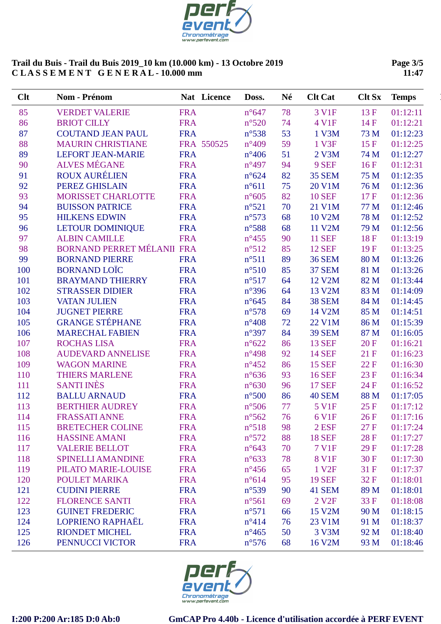

**Page 3/5 11:47**

| Clt | Nom - Prénom               |            | Nat Licence | Doss.          | Né | <b>Clt Cat</b>    | <b>Clt Sx</b>    | <b>Temps</b> |
|-----|----------------------------|------------|-------------|----------------|----|-------------------|------------------|--------------|
| 85  | <b>VERDET VALERIE</b>      | <b>FRA</b> |             | $n^{\circ}647$ | 78 | 3 V1F             | 13F              | 01:12:11     |
| 86  | <b>BRIOT CILLY</b>         | <b>FRA</b> |             | $n^{\circ}520$ | 74 | 4 V1F             | 14F              | 01:12:21     |
| 87  | <b>COUTAND JEAN PAUL</b>   | <b>FRA</b> |             | $n^{\circ}538$ | 53 | 1 V3M             | 73 M             | 01:12:23     |
| 88  | <b>MAURIN CHRISTIANE</b>   |            | FRA 550525  | $n^{\circ}409$ | 59 | 1 V3F             | 15F              | 01:12:25     |
| 89  | <b>LEFORT JEAN-MARIE</b>   | <b>FRA</b> |             | $n^{\circ}406$ | 51 | 2 V3M             | 74 M             | 01:12:27     |
| 90  | <b>ALVES MÉGANE</b>        | <b>FRA</b> |             | $n^{\circ}497$ | 94 | 9 SEF             | 16F              | 01:12:31     |
| 91  | ROUX AURÉLIEN              | <b>FRA</b> |             | $n^{\circ}624$ | 82 | <b>35 SEM</b>     | 75 M             | 01:12:35     |
| 92  | PEREZ GHISLAIN             | <b>FRA</b> |             | $n^{\circ}611$ | 75 | 20 V1M            | 76 M             | 01:12:36     |
| 93  | <b>MORISSET CHARLOTTE</b>  | <b>FRA</b> |             | $n^{\circ}605$ | 82 | <b>10 SEF</b>     | 17F              | 01:12:36     |
| 94  | <b>BUISSON PATRICE</b>     | <b>FRA</b> |             | $n^{\circ}521$ | 70 | 21 V1M            | 77 M             | 01:12:46     |
| 95  | <b>HILKENS EDWIN</b>       | <b>FRA</b> |             | $n^{\circ}573$ | 68 | 10 V2M            | 78 M             | 01:12:52     |
| 96  | <b>LETOUR DOMINIQUE</b>    | <b>FRA</b> |             | $n^{\circ}588$ | 68 | 11 V2M            | 79 M             | 01:12:56     |
| 97  | <b>ALBIN CAMILLE</b>       | <b>FRA</b> |             | $n^{\circ}455$ | 90 | <b>11 SEF</b>     | 18F              | 01:13:19     |
| 98  | BORNAND PERRET MÉLANII FRA |            |             | n°512          | 85 | <b>12 SEF</b>     | 19F              | 01:13:25     |
| 99  | <b>BORNAND PIERRE</b>      | <b>FRA</b> |             | $n^{\circ}511$ | 89 | <b>36 SEM</b>     | 80 M             | 01:13:26     |
| 100 | <b>BORNAND LOÏC</b>        | <b>FRA</b> |             | $n^{\circ}510$ | 85 | <b>37 SEM</b>     | 81 M             | 01:13:26     |
| 101 | <b>BRAYMAND THIERRY</b>    | <b>FRA</b> |             | $n^{\circ}517$ | 64 | 12 V2M            | 82 M             | 01:13:44     |
| 102 | <b>STRASSER DIDIER</b>     | <b>FRA</b> |             | $n^{\circ}396$ | 64 | 13 V2M            | 83 M             | 01:14:09     |
| 103 | <b>VATAN JULIEN</b>        | <b>FRA</b> |             | $n^{\circ}645$ | 84 | <b>38 SEM</b>     | 84 M             | 01:14:45     |
| 104 | <b>JUGNET PIERRE</b>       | <b>FRA</b> |             | $n^{\circ}578$ | 69 | 14 V2M            | 85 M             | 01:14:51     |
| 105 | <b>GRANGE STÉPHANE</b>     | <b>FRA</b> |             | $n^{\circ}408$ | 72 | 22 V1M            | 86 M             | 01:15:39     |
| 106 | <b>MARECHAL FABIEN</b>     | <b>FRA</b> |             | $n^{\circ}397$ | 84 | <b>39 SEM</b>     | 87 M             | 01:16:05     |
| 107 | <b>ROCHAS LISA</b>         | <b>FRA</b> |             | $n^{\circ}622$ | 86 | <b>13 SEF</b>     | 20 F             | 01:16:21     |
| 108 | <b>AUDEVARD ANNELISE</b>   | <b>FRA</b> |             | $n^{\circ}498$ | 92 | <b>14 SEF</b>     | 21F              | 01:16:23     |
| 109 | <b>WAGON MARINE</b>        | <b>FRA</b> |             | $n^{\circ}452$ | 86 | <b>15 SEF</b>     | $22\,\mathrm{F}$ | 01:16:30     |
| 110 | <b>THIERS MARLENE</b>      | <b>FRA</b> |             | $n^{\circ}636$ | 93 | <b>16 SEF</b>     | 23 F             | 01:16:34     |
| 111 | <b>SANTI INÈS</b>          | <b>FRA</b> |             | $n^{\circ}630$ | 96 | <b>17 SEF</b>     | 24 F             | 01:16:52     |
| 112 | <b>BALLU ARNAUD</b>        | <b>FRA</b> |             | $n^{\circ}500$ | 86 | 40 SEM            | 88 M             | 01:17:05     |
| 113 | <b>BERTHIER AUDREY</b>     | <b>FRA</b> |             | $n^{\circ}506$ | 77 | <b>5 V1F</b>      | 25 F             | 01:17:12     |
| 114 | <b>FRASSATI ANNE</b>       | <b>FRA</b> |             | $n^{\circ}562$ | 76 | 6 V1F             | 26F              | 01:17:16     |
| 115 | <b>BRETECHER COLINE</b>    | <b>FRA</b> |             | $n^{\circ}518$ | 98 | 2 ESF             | 27F              | 01:17:24     |
| 116 | <b>HASSINE AMANI</b>       | <b>FRA</b> |             | $n^{\circ}572$ | 88 | <b>18 SEF</b>     | <b>28F</b>       | 01:17:27     |
| 117 | <b>VALERIE BELLOT</b>      | <b>FRA</b> |             | $n^{\circ}643$ | 70 | 7 V1F             | 29F              | 01:17:28     |
| 118 | <b>SPINELLI AMANDINE</b>   | <b>FRA</b> |             | $n^{\circ}633$ | 78 | 8 V1F             | 30F              | 01:17:30     |
| 119 | PILATO MARIE-LOUISE        | <b>FRA</b> |             | $n^{\circ}456$ | 65 | 1 V <sub>2F</sub> | 31F              | 01:17:37     |
| 120 | <b>POULET MARIKA</b>       | <b>FRA</b> |             | $n^{\circ}614$ | 95 | <b>19 SEF</b>     | 32F              | 01:18:01     |
| 121 | <b>CUDINI PIERRE</b>       | <b>FRA</b> |             | $n^{\circ}539$ | 90 | 41 SEM            | 89 M             | 01:18:01     |
| 122 | <b>FLORENCE SANTI</b>      | <b>FRA</b> |             | $n^{\circ}561$ | 69 | 2 V <sub>2F</sub> | 33 F             | 01:18:08     |
| 123 | <b>GUINET FREDERIC</b>     | <b>FRA</b> |             | $n^{\circ}571$ | 66 | 15 V2M            | 90 M             | 01:18:15     |
| 124 | <b>LOPRIENO RAPHAËL</b>    | <b>FRA</b> |             | $n^{\circ}414$ | 76 | 23 V1M            | 91 M             | 01:18:37     |
| 125 | <b>RIONDET MICHEL</b>      | <b>FRA</b> |             | $n^{\circ}465$ | 50 | 3 V3M             | 92 M             | 01:18:40     |
| 126 | PENNUCCI VICTOR            | <b>FRA</b> |             | $n^{\circ}576$ | 68 | 16 V2M            | 93 M             | 01:18:46     |
|     |                            |            |             |                |    |                   |                  |              |

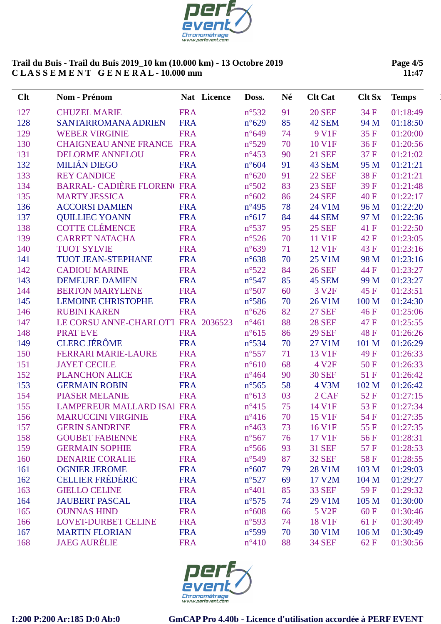

**Page 4/5 11:47**

| Clt | Nom - Prénom                       |            | Nat Licence | Doss.           | Né | <b>Clt Cat</b>    | <b>Clt Sx</b> | <b>Temps</b> |
|-----|------------------------------------|------------|-------------|-----------------|----|-------------------|---------------|--------------|
| 127 | <b>CHUZEL MARIE</b>                | <b>FRA</b> |             | $n^{\circ}532$  | 91 | <b>20 SEF</b>     | 34 F          | 01:18:49     |
| 128 | <b>SANTARROMANA ADRIEN</b>         | <b>FRA</b> |             | $n^{\circ}629$  | 85 | 42 SEM            | 94 M          | 01:18:50     |
| 129 | <b>WEBER VIRGINIE</b>              | <b>FRA</b> |             | $n^{\circ}649$  | 74 | 9 V1F             | 35F           | 01:20:00     |
| 130 | <b>CHAIGNEAU ANNE FRANCE</b>       | <b>FRA</b> |             | $n^{\circ}529$  | 70 | 10 V1F            | 36F           | 01:20:56     |
| 131 | <b>DELORME ANNELOU</b>             | <b>FRA</b> |             | $n^{\circ}453$  | 90 | <b>21 SEF</b>     | 37 F          | 01:21:02     |
| 132 | <b>MILIÁN DIEGO</b>                | <b>FRA</b> |             | $n^{\circ}604$  | 91 | 43 SEM            | 95 M          | 01:21:21     |
| 133 | <b>REY CANDICE</b>                 | <b>FRA</b> |             | $n^{\circ}620$  | 91 | <b>22 SEF</b>     | 38F           | 01:21:21     |
| 134 | BARRAL- CADIÈRE FLOREN(FRA         |            |             | $n^{\circ}502$  | 83 | <b>23 SEF</b>     | 39F           | 01:21:48     |
| 135 | <b>MARTY JESSICA</b>               | <b>FRA</b> |             | $n^{\circ}602$  | 86 | <b>24 SEF</b>     | 40 F          | 01:22:17     |
| 136 | <b>ACCORSI DAMIEN</b>              | <b>FRA</b> |             | $n^{\circ}495$  | 78 | 24 V1M            | 96 M          | 01:22:20     |
| 137 | <b>QUILLIEC YOANN</b>              | <b>FRA</b> |             | $n^{\circ}617$  | 84 | 44 SEM            | 97 M          | 01:22:36     |
| 138 | <b>COTTE CLÉMENCE</b>              | <b>FRA</b> |             | $n^{\circ}537$  | 95 | <b>25 SEF</b>     | 41 F          | 01:22:50     |
| 139 | <b>CARRET NATACHA</b>              | <b>FRA</b> |             | $n^{\circ}526$  | 70 | 11 V1F            | 42 F          | 01:23:05     |
| 140 | <b>TUOT SYLVIE</b>                 | <b>FRA</b> |             | $n^{\circ}639$  | 71 | 12 V1F            | 43 F          | 01:23:16     |
| 141 | TUOT JEAN-STEPHANE                 | <b>FRA</b> |             | $n^{\circ}638$  | 70 | 25 V1M            | 98 M          | 01:23:16     |
| 142 | <b>CADIOU MARINE</b>               | <b>FRA</b> |             | $n^{\circ}522$  | 84 | <b>26 SEF</b>     | 44 F          | 01:23:27     |
| 143 | <b>DEMEURE DAMIEN</b>              | <b>FRA</b> |             | $n^{\circ}547$  | 85 | <b>45 SEM</b>     | 99 M          | 01:23:27     |
| 144 | <b>BERTON MARYLENE</b>             | <b>FRA</b> |             | $n^{\circ}507$  | 60 | 3 V <sub>2F</sub> | 45 F          | 01:23:51     |
| 145 | <b>LEMOINE CHRISTOPHE</b>          | <b>FRA</b> |             | $n^{\circ}$ 586 | 70 | 26 V1M            | 100 M         | 01:24:30     |
| 146 | <b>RUBINI KAREN</b>                | <b>FRA</b> |             | $n^{\circ}626$  | 82 | <b>27 SEF</b>     | 46 F          | 01:25:06     |
| 147 | LE CORSU ANNE-CHARLOTI FRA 2036523 |            |             | $n^{\circ}461$  | 88 | <b>28 SEF</b>     | 47 F          | 01:25:55     |
| 148 | <b>PRATEVE</b>                     | <b>FRA</b> |             | $n^{\circ}615$  | 86 | <b>29 SEF</b>     | 48F           | 01:26:26     |
| 149 | <b>CLERC JÉRÔME</b>                | <b>FRA</b> |             | $n^{\circ}$ 534 | 70 | 27 V1M            | 101 M         | 01:26:29     |
| 150 | <b>FERRARI MARIE-LAURE</b>         | <b>FRA</b> |             | $n^{\circ}557$  | 71 | 13 V1F            | 49 F          | 01:26:33     |
| 151 | <b>JAYET CECILE</b>                | <b>FRA</b> |             | $n^{\circ}610$  | 68 | 4 V <sub>2F</sub> | 50F           | 01:26:33     |
| 152 | <b>PLANCHON ALICE</b>              | <b>FRA</b> |             | $n^{\circ}464$  | 90 | <b>30 SEF</b>     | 51F           | 01:26:42     |
| 153 | <b>GERMAIN ROBIN</b>               | <b>FRA</b> |             | $n^{\circ}$ 565 | 58 | 4 V3M             | 102 M         | 01:26:42     |
| 154 | <b>PIASER MELANIE</b>              | <b>FRA</b> |             | $n^{\circ}613$  | 03 | 2 CAF             | 52F           | 01:27:15     |
| 155 | <b>LAMPEREUR MALLARD ISAI FRA</b>  |            |             | $n^{\circ}415$  | 75 | 14 V1F            | 53F           | 01:27:34     |
| 156 | <b>MARUCCINI VIRGINIE</b>          | <b>FRA</b> |             | $n^{\circ}416$  | 70 | 15 V1F            | 54 F          | 01:27:35     |
| 157 | <b>GERIN SANDRINE</b>              | <b>FRA</b> |             | $n^{\circ}463$  | 73 | 16 V1F            | 55 F          | 01:27:35     |
| 158 | <b>GOUBET FABIENNE</b>             | <b>FRA</b> |             | $n^{\circ}567$  | 76 | 17 V1F            | 56F           | 01:28:31     |
| 159 | <b>GERMAIN SOPHIE</b>              | <b>FRA</b> |             | $n^{\circ}$ 566 | 93 | <b>31 SEF</b>     | 57 F          | 01:28:53     |
| 160 | <b>DENARIE CORALIE</b>             | <b>FRA</b> |             | $n^{\circ}549$  | 87 | <b>32 SEF</b>     | 58F           | 01:28:55     |
| 161 | <b>OGNIER JEROME</b>               | <b>FRA</b> |             | $n^{\circ}607$  | 79 | 28 V1M            | 103 M         | 01:29:03     |
| 162 | <b>CELLIER FRÉDÉRIC</b>            | <b>FRA</b> |             | $n^{\circ}527$  | 69 | 17 V2M            | 104 M         | 01:29:27     |
| 163 | <b>GIELLO CELINE</b>               | <b>FRA</b> |             | $n^{\circ}401$  | 85 | <b>33 SEF</b>     | 59F           | 01:29:32     |
| 164 | <b>JAUBERT PASCAL</b>              | <b>FRA</b> |             | $n^{\circ}575$  | 74 | 29 V1M            | 105 M         | 01:30:00     |
| 165 | <b>OUNNAS HIND</b>                 | <b>FRA</b> |             | $n^{\circ}608$  | 66 | 5 V2F             | 60F           | 01:30:46     |
| 166 | <b>LOVET-DURBET CELINE</b>         | <b>FRA</b> |             | $n^{\circ}593$  | 74 | 18 V1F            | 61 F          | 01:30:49     |
| 167 | <b>MARTIN FLORIAN</b>              | <b>FRA</b> |             | $n^{\circ}599$  | 70 | 30 V1M            | 106 M         | 01:30:49     |
| 168 | <b>JAEG AURÉLIE</b>                | <b>FRA</b> |             | $n^{\circ}410$  | 88 | <b>34 SEF</b>     | 62 F          | 01:30:56     |